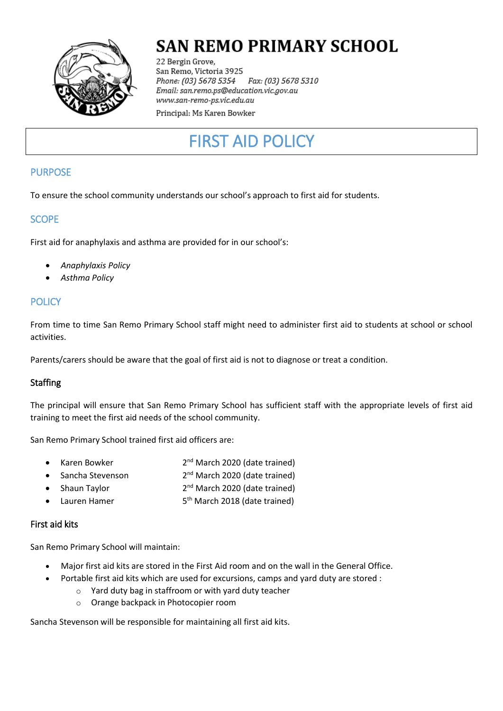

## **SAN REMO PRIMARY SCHOOL**

22 Bergin Grove, San Remo, Victoria 3925 Fax: (03) 5678 5310 Phone: (03) 5678 5354 Email: san.remo.ps@education.vic.gov.au www.san-remo-ps.vic.edu.au

Principal: Ms Karen Bowker

# FIRST AID POLICY

## PURPOSE

To ensure the school community understands our school's approach to first aid for students.

## **SCOPE**

First aid for anaphylaxis and asthma are provided for in our school's:

- *Anaphylaxis Policy*
- *Asthma Policy*

## **POLICY**

From time to time San Remo Primary School staff might need to administer first aid to students at school or school activities.

Parents/carers should be aware that the goal of first aid is not to diagnose or treat a condition.

### **Staffing**

The principal will ensure that San Remo Primary School has sufficient staff with the appropriate levels of first aid training to meet the first aid needs of the school community.

San Remo Primary School trained first aid officers are:

|  | Karen Bowker | 2 <sup>nd</sup> March 2020 (date trained) |
|--|--------------|-------------------------------------------|
|--|--------------|-------------------------------------------|

- Sancha Stevenson 2 2<sup>nd</sup> March 2020 (date trained)
- Shaun Taylor 2<sup>nd</sup> March 2020 (date trained)
- Lauren Hamer 5 5<sup>th</sup> March 2018 (date trained)

#### First aid kits

San Remo Primary School will maintain:

- Major first aid kits are stored in the First Aid room and on the wall in the General Office.
	- Portable first aid kits which are used for excursions, camps and yard duty are stored :
		- o Yard duty bag in staffroom or with yard duty teacher
		- o Orange backpack in Photocopier room

Sancha Stevenson will be responsible for maintaining all first aid kits.